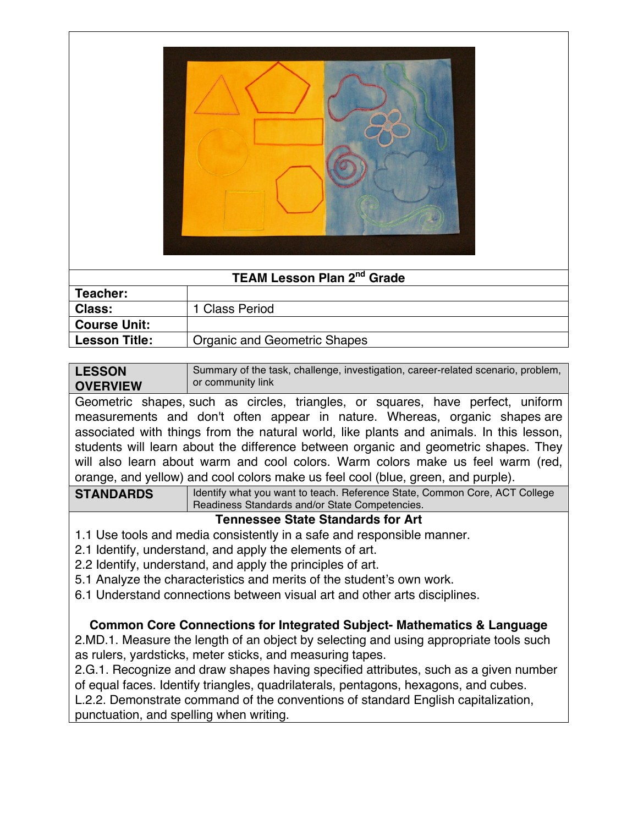

| <b>TEAM Lesson Plan 2<sup>nd</sup> Grade</b> |                                     |  |
|----------------------------------------------|-------------------------------------|--|
| Teacher:                                     |                                     |  |
| <b>Class:</b>                                | 1 Class Period                      |  |
| <b>Course Unit:</b>                          |                                     |  |
| <b>Lesson Title:</b>                         | <b>Organic and Geometric Shapes</b> |  |

| <b>LESSON</b>                                                                   | Summary of the task, challenge, investigation, career-related scenario, problem, |  |  |  |  |  |  |  |  |  |
|---------------------------------------------------------------------------------|----------------------------------------------------------------------------------|--|--|--|--|--|--|--|--|--|
|                                                                                 | or community link<br><b>OVERVIEW</b>                                             |  |  |  |  |  |  |  |  |  |
| Geometric shapes, such as circles, triangles, or squares, have perfect, uniform |                                                                                  |  |  |  |  |  |  |  |  |  |

measurements and don't often appear in nature. Whereas, organic shapes are associated with things from the natural world, like plants and animals. In this lesson, students will learn about the difference between organic and geometric shapes. They will also learn about warm and cool colors. Warm colors make us feel warm (red, orange, and yellow) and cool colors make us feel cool (blue, green, and purple).

**STANDARDS** Identify what you want to teach. Reference State, Common Core, ACT College Readiness Standards and/or State Competencies.

## **Tennessee State Standards for Art**

- 1.1 Use tools and media consistently in a safe and responsible manner.
- 2.1 Identify, understand, and apply the elements of art.
- 2.2 Identify, understand, and apply the principles of art.
- 5.1 Analyze the characteristics and merits of the student's own work.
- 6.1 Understand connections between visual art and other arts disciplines.

## **Common Core Connections for Integrated Subject- Mathematics & Language**

2.MD.1. Measure the length of an object by selecting and using appropriate tools such as rulers, yardsticks, meter sticks, and measuring tapes.

2.G.1. Recognize and draw shapes having specified attributes, such as a given number of equal faces. Identify triangles, quadrilaterals, pentagons, hexagons, and cubes.

L.2.2. Demonstrate command of the conventions of standard English capitalization, punctuation, and spelling when writing.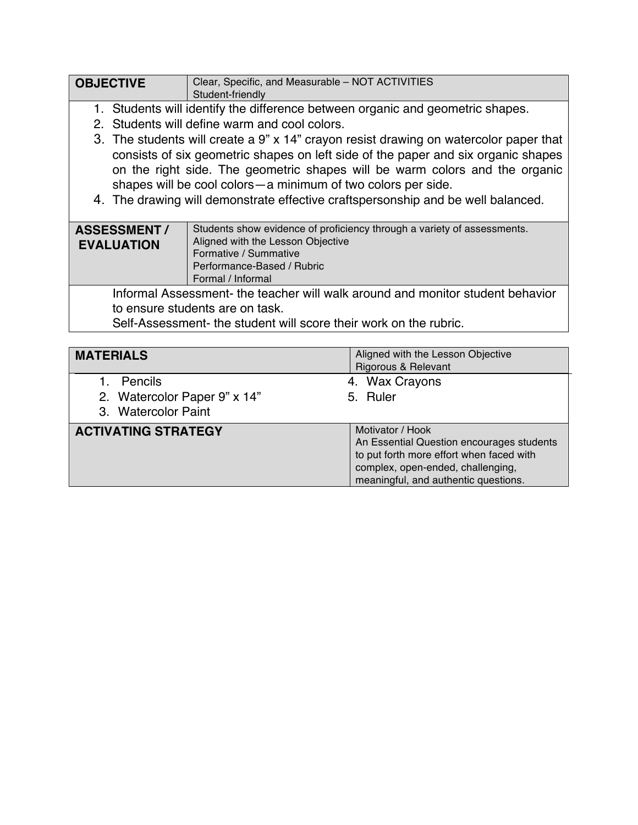| <b>OBJECTIVE</b>                                                                                                                                                                                                                                                                                                                                                                                                | Clear, Specific, and Measurable - NOT ACTIVITIES<br>Student-friendly    |  |  |  |
|-----------------------------------------------------------------------------------------------------------------------------------------------------------------------------------------------------------------------------------------------------------------------------------------------------------------------------------------------------------------------------------------------------------------|-------------------------------------------------------------------------|--|--|--|
| 1. Students will identify the difference between organic and geometric shapes.<br>2. Students will define warm and cool colors.                                                                                                                                                                                                                                                                                 |                                                                         |  |  |  |
| 3. The students will create a 9" x 14" crayon resist drawing on watercolor paper that<br>consists of six geometric shapes on left side of the paper and six organic shapes<br>on the right side. The geometric shapes will be warm colors and the organic<br>shapes will be cool colors - a minimum of two colors per side.<br>4. The drawing will demonstrate effective craftspersonship and be well balanced. |                                                                         |  |  |  |
| <b>ASSESSMENT/</b>                                                                                                                                                                                                                                                                                                                                                                                              | Students show evidence of proficiency through a variety of assessments. |  |  |  |

| <b>ASSESSMENT/</b> | Students show evidence of proficiency through a variety of assessments.        |
|--------------------|--------------------------------------------------------------------------------|
| <b>EVALUATION</b>  | Aligned with the Lesson Objective                                              |
|                    | Formative / Summative                                                          |
|                    | Performance-Based / Rubric                                                     |
|                    | Formal / Informal                                                              |
|                    | Informal Accoccmont, the teacher will walk around and monitor student behavior |

Informal Assessment- the teacher will walk around and monitor student behavior to ensure students are on task.

Self-Assessment- the student will score their work on the rubric.

| <b>MATERIALS</b>                                               | Aligned with the Lesson Objective<br><b>Rigorous &amp; Relevant</b>                                                                                                                    |
|----------------------------------------------------------------|----------------------------------------------------------------------------------------------------------------------------------------------------------------------------------------|
| Pencils<br>2. Watercolor Paper 9" x 14"<br>3. Watercolor Paint | 4. Wax Crayons<br>5. Ruler                                                                                                                                                             |
| <b>ACTIVATING STRATEGY</b>                                     | Motivator / Hook<br>An Essential Question encourages students<br>to put forth more effort when faced with<br>complex, open-ended, challenging,<br>meaningful, and authentic questions. |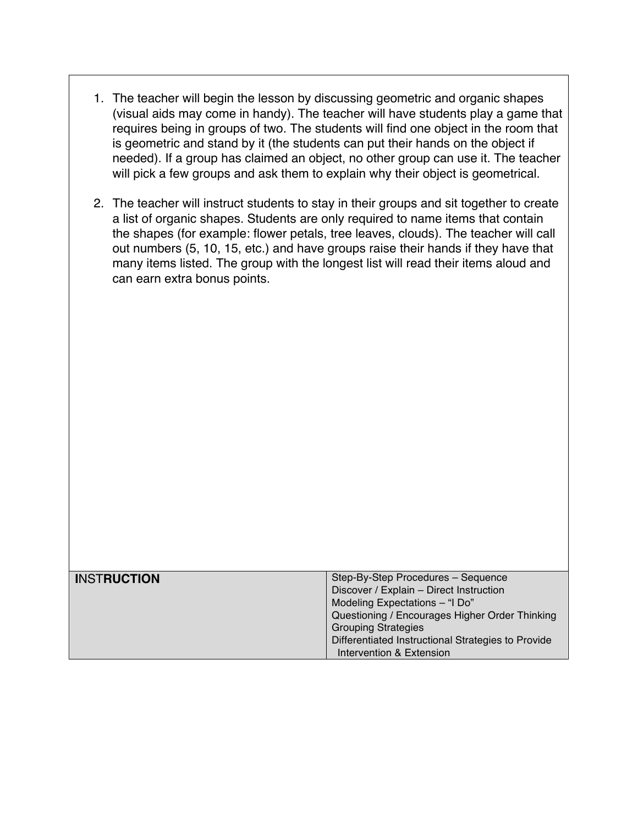- 1. The teacher will begin the lesson by discussing geometric and organic shapes (visual aids may come in handy). The teacher will have students play a game that requires being in groups of two. The students will find one object in the room that is geometric and stand by it (the students can put their hands on the object if needed). If a group has claimed an object, no other group can use it. The teacher will pick a few groups and ask them to explain why their object is geometrical.
- 2. The teacher will instruct students to stay in their groups and sit together to create a list of organic shapes. Students are only required to name items that contain the shapes (for example: flower petals, tree leaves, clouds). The teacher will call out numbers (5, 10, 15, etc.) and have groups raise their hands if they have that many items listed. The group with the longest list will read their items aloud and can earn extra bonus points.

| <b>INSTRUCTION</b> | Step-By-Step Procedures - Sequence                 |
|--------------------|----------------------------------------------------|
|                    | Discover / Explain - Direct Instruction            |
|                    | Modeling Expectations - "I Do"                     |
|                    | Questioning / Encourages Higher Order Thinking     |
|                    | <b>Grouping Strategies</b>                         |
|                    | Differentiated Instructional Strategies to Provide |
|                    | Intervention & Extension                           |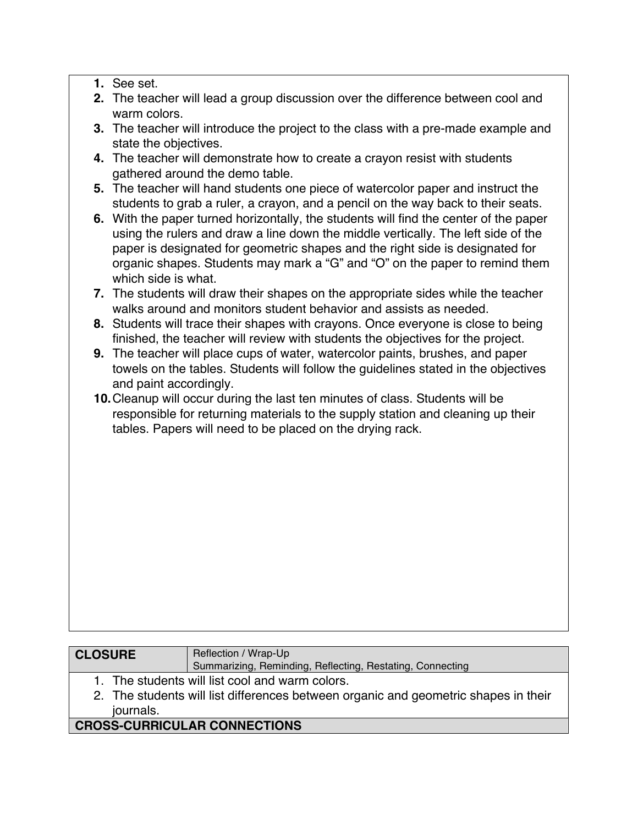- **1.** See set.
- **2.** The teacher will lead a group discussion over the difference between cool and warm colors.
- **3.** The teacher will introduce the project to the class with a pre-made example and state the objectives.
- **4.** The teacher will demonstrate how to create a crayon resist with students gathered around the demo table.
- **5.** The teacher will hand students one piece of watercolor paper and instruct the students to grab a ruler, a crayon, and a pencil on the way back to their seats.
- **6.** With the paper turned horizontally, the students will find the center of the paper using the rulers and draw a line down the middle vertically. The left side of the paper is designated for geometric shapes and the right side is designated for organic shapes. Students may mark a "G" and "O" on the paper to remind them which side is what.
- **7.** The students will draw their shapes on the appropriate sides while the teacher walks around and monitors student behavior and assists as needed.
- **8.** Students will trace their shapes with crayons. Once everyone is close to being finished, the teacher will review with students the objectives for the project.
- **9.** The teacher will place cups of water, watercolor paints, brushes, and paper towels on the tables. Students will follow the guidelines stated in the objectives and paint accordingly.
- **10.**Cleanup will occur during the last ten minutes of class. Students will be responsible for returning materials to the supply station and cleaning up their tables. Papers will need to be placed on the drying rack.

| <b>CLOSURE</b>                               | Reflection / Wrap-Up                                      |  |
|----------------------------------------------|-----------------------------------------------------------|--|
|                                              | Summarizing, Reminding, Reflecting, Restating, Connecting |  |
| The students will list cool and warm colors. |                                                           |  |

2. The students will list differences between organic and geometric shapes in their journals.

## **CROSS-CURRICULAR CONNECTIONS**